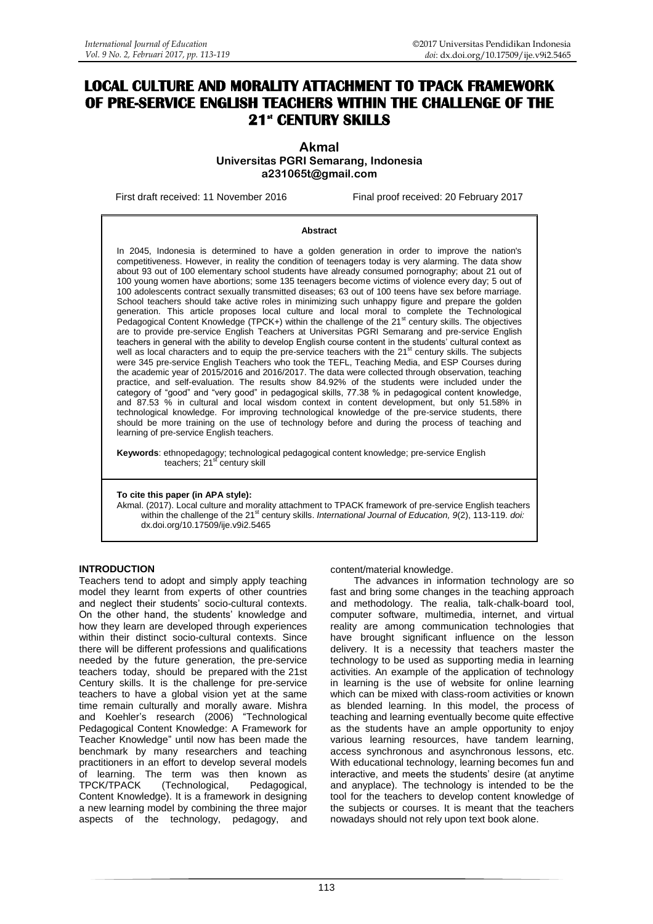# **LOCAL CULTURE AND MORALITY ATTACHMENT TO TPACK FRAMEWORK OF PRE-SERVICE ENGLISH TEACHERS WITHIN THE CHALLENGE OF THE 21st CENTURY SKILLS**

**Akmal Universitas PGRI Semarang, Indonesia [a231065t@gmail.com](mailto:a231065t@gmail.co)**

First draft received: 11 November 2016 Final proof received: 20 February 2017

#### **Abstract**

In 2045, Indonesia is determined to have a golden generation in order to improve the nation's competitiveness. However, in reality the condition of teenagers today is very alarming. The data show about 93 out of 100 elementary school students have already consumed pornography; about 21 out of 100 young women have abortions; some 135 teenagers become victims of violence every day; 5 out of 100 adolescents contract sexually transmitted diseases; 63 out of 100 teens have sex before marriage. School teachers should take active roles in minimizing such unhappy figure and prepare the golden generation. This article proposes local culture and local moral to complete the Technological<br>Pedagogical Content Knowledge (TPCK+) within the challenge of the 21<sup>st</sup> century skills. The objectives are to provide pre-service English Teachers at Universitas PGRI Semarang and pre-service English teachers in general with the ability to develop English course content in the students" cultural context as well as local characters and to equip the pre-service teachers with the 21<sup>st</sup> century skills. The subjects were 345 pre-service English Teachers who took the TEFL, Teaching Media, and ESP Courses during the academic year of 2015/2016 and 2016/2017. The data were collected through observation, teaching practice, and self-evaluation. The results show 84.92% of the students were included under the category of "good" and "very good" in pedagogical skills, 77.38 % in pedagogical content knowledge, and 87.53 % in cultural and local wisdom context in content development, but only 51.58% in technological knowledge. For improving technological knowledge of the pre-service students, there should be more training on the use of technology before and during the process of teaching and learning of pre-service English teachers.

**Keywords**: ethnopedagogy; technological pedagogical content knowledge; pre-service English teachers; 21st century skill

#### **To cite this paper (in APA style):**

Akmal. (2017). Local culture and morality attachment to TPACK framework of pre-service English teachers within the challenge of the 21<sup>st</sup> century skills. *International Journal of Education*, 9(2), 113-119. *doi:* [dx.doi.org/10.17509/ije.v9i2.5465](http://dx.doi.org/10.17509/ije.v9i2.5465)

## **INTRODUCTION**

Teachers tend to adopt and simply apply teaching model they learnt from experts of other countries and neglect their students' socio-cultural contexts. On the other hand, the students' knowledge and how they learn are developed through experiences within their distinct socio-cultural contexts. Since there will be different professions and qualifications needed by the future generation, the pre-service teachers today, should be prepared with the 21st Century skills. It is the challenge for pre-service teachers to have a global vision yet at the same time remain culturally and morally aware. Mishra and Koehler"s research (2006) "Technological Pedagogical Content Knowledge: A Framework for Teacher Knowledge" until now has been made the benchmark by many researchers and teaching practitioners in an effort to develop several models of learning. The term was then known as<br>TPCK/TPACK (Technological, Pedagogical, (Technological, Content Knowledge). It is a framework in designing a new learning model by combining the three major aspects of the technology, pedagogy, and

#### content/material knowledge.

The advances in information technology are so fast and bring some changes in the teaching approach and methodology. The realia, talk-chalk-board tool, computer software, multimedia, internet, and virtual reality are among communication technologies that have brought significant influence on the lesson delivery. It is a necessity that teachers master the technology to be used as supporting media in learning activities. An example of the application of technology in learning is the use of website for online learning which can be mixed with class-room activities or known as blended learning. In this model, the process of teaching and learning eventually become quite effective as the students have an ample opportunity to enjoy various learning resources, have tandem learning, access synchronous and asynchronous lessons, etc. With educational technology, learning becomes fun and interactive, and meets the students" desire (at anytime and anyplace). The technology is intended to be the tool for the teachers to develop content knowledge of the subjects or courses. It is meant that the teachers nowadays should not rely upon text book alone.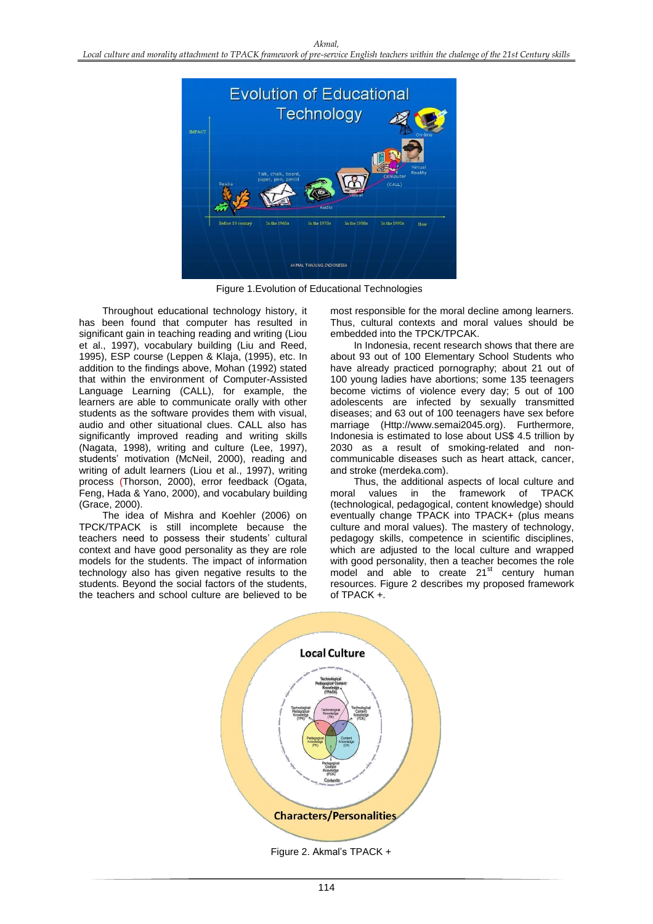

Figure 1.Evolution of Educational Technologies

Throughout educational technology history, it has been found that computer has resulted in significant gain in teaching reading and writing (Liou et al., 1997), vocabulary building (Liu and Reed, 1995), ESP course (Leppen & Klaja, (1995), etc. In addition to the findings above, Mohan (1992) stated that within the environment of Computer-Assisted Language Learning (CALL), for example, the learners are able to communicate orally with other students as the software provides them with visual, audio and other situational clues. CALL also has significantly improved reading and writing skills (Nagata, 1998), writing and culture (Lee, 1997), students" motivation (McNeil, 2000), reading and writing of adult learners (Liou et al., 1997), writing process (Thorson, 2000), error feedback (Ogata, Feng, Hada & Yano, 2000), and vocabulary building (Grace, 2000).

The idea of Mishra and Koehler (2006) on TPCK/TPACK is still incomplete because the teachers need to possess their students' cultural context and have good personality as they are role models for the students. The impact of information technology also has given negative results to the students. Beyond the social factors of the students, the teachers and school culture are believed to be most responsible for the moral decline among learners. Thus, cultural contexts and moral values should be embedded into the TPCK/TPCAK.

In Indonesia, recent research shows that there are about 93 out of 100 Elementary School Students who have already practiced pornography; about 21 out of 100 young ladies have abortions; some 135 teenagers become victims of violence every day; 5 out of 100 adolescents are infected by sexually transmitted diseases; and 63 out of 100 teenagers have sex before marriage (Http://www.semai2045.org). Furthermore, Indonesia is estimated to lose about US\$ 4.5 trillion by 2030 as a result of smoking-related and noncommunicable diseases such as heart attack, cancer, and stroke (merdeka.com).

Thus, the additional aspects of local culture and moral values in the framework of TPACK (technological, pedagogical, content knowledge) should eventually change TPACK into TPACK+ (plus means culture and moral values). The mastery of technology, pedagogy skills, competence in scientific disciplines, which are adjusted to the local culture and wrapped with good personality, then a teacher becomes the role model and able to create  $21<sup>st</sup>$  century human resources. Figure 2 describes my proposed framework of TPACK +.

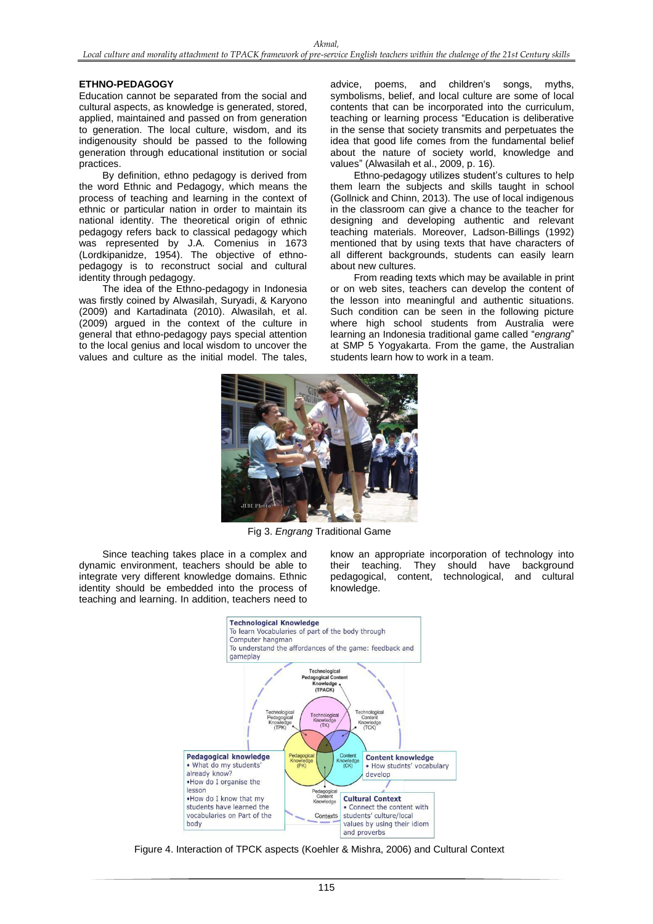## **ETHNO-PEDAGOGY**

Education cannot be separated from the social and cultural aspects, as knowledge is generated, stored, applied, maintained and passed on from generation to generation. The local culture, wisdom, and its indigenousity should be passed to the following generation through educational institution or social practices.

By definition, ethno pedagogy is derived from the word Ethnic and Pedagogy, which means the process of teaching and learning in the context of ethnic or particular nation in order to maintain its national identity. The theoretical origin of ethnic pedagogy refers back to classical pedagogy which was represented by J.A. Comenius in 1673 (Lordkipanidze, 1954). The objective of ethnopedagogy is to reconstruct social and cultural identity through pedagogy.

The idea of the Ethno-pedagogy in Indonesia was firstly coined by Alwasilah, Suryadi, & Karyono (2009) and Kartadinata (2010). Alwasilah, et al. (2009) argued in the context of the culture in general that ethno-pedagogy pays special attention to the local genius and local wisdom to uncover the values and culture as the initial model. The tales, advice, poems, and children"s songs, myths, symbolisms, belief, and local culture are some of local contents that can be incorporated into the curriculum, teaching or learning process "Education is deliberative in the sense that society transmits and perpetuates the idea that good life comes from the fundamental belief about the nature of society world, knowledge and values" (Alwasilah et al., 2009, p. 16).

Ethno-pedagogy utilizes student"s cultures to help them learn the subjects and skills taught in school (Gollnick and Chinn, 2013). The use of local indigenous in the classroom can give a chance to the teacher for designing and developing authentic and relevant teaching materials. Moreover, Ladson-Billings (1992) mentioned that by using texts that have characters of all different backgrounds, students can easily learn about new cultures.

From reading texts which may be available in print or on web sites, teachers can develop the content of the lesson into meaningful and authentic situations. Such condition can be seen in the following picture where high school students from Australia were learning an Indonesia traditional game called "*engrang*" at SMP 5 Yogyakarta. From the game, the Australian students learn how to work in a team.



Fig 3. *Engrang* Traditional Game

Since teaching takes place in a complex and dynamic environment, teachers should be able to integrate very different knowledge domains. Ethnic identity should be embedded into the process of teaching and learning. In addition, teachers need to know an appropriate incorporation of technology into their teaching. They should have background pedagogical, content, technological, and cultural knowledge.



Figure 4. Interaction of TPCK aspects (Koehler & Mishra, 2006) and Cultural Context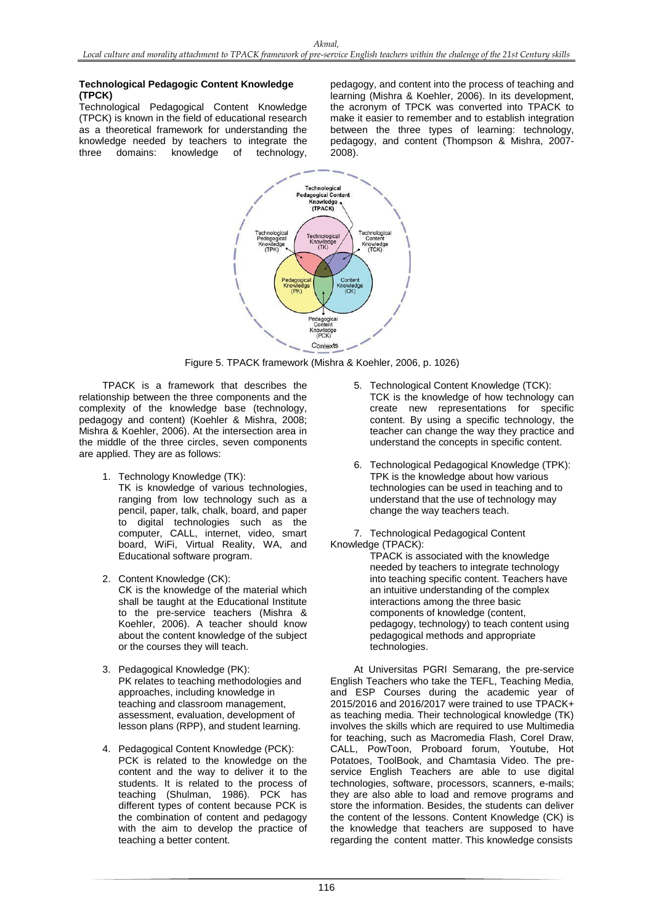## **Technological Pedagogic Content Knowledge (TPCK)**

Technological Pedagogical Content Knowledge (TPCK) is known in the field of educational research as a theoretical framework for understanding the knowledge needed by teachers to integrate the three domains: knowledge of technology,

pedagogy, and content into the process of teaching and learning (Mishra & Koehler, 2006). In its development, the acronym of TPCK was converted into TPACK to make it easier to remember and to establish integration between the three types of learning: technology, pedagogy, and content (Thompson & Mishra, 2007- 2008).



Figure 5. TPACK framework (Mishra & Koehler, 2006, p. 1026)

TPACK is a framework that describes the relationship between the three components and the complexity of the knowledge base (technology, pedagogy and content) (Koehler & Mishra, 2008; Mishra & Koehler, 2006). At the intersection area in the middle of the three circles, seven components are applied. They are as follows:

- 1. Technology Knowledge (TK):
	- TK is knowledge of various technologies, ranging from low technology such as a pencil, paper, talk, chalk, board, and paper to digital technologies such as the computer, CALL, internet, video, smart board, WiFi, Virtual Reality, WA, and Educational software program.
- 2. Content Knowledge (CK): CK is the knowledge of the material which shall be taught at the Educational Institute to the pre-service teachers (Mishra & Koehler, 2006). A teacher should know about the content knowledge of the subject or the courses they will teach.
- 3. Pedagogical Knowledge (PK): PK relates to teaching methodologies and approaches, including knowledge in teaching and classroom management, assessment, evaluation, development of lesson plans (RPP), and student learning.
- 4. Pedagogical Content Knowledge (PCK): PCK is related to the knowledge on the content and the way to deliver it to the students. It is related to the process of teaching (Shulman, 1986). PCK has different types of content because PCK is the combination of content and pedagogy with the aim to develop the practice of teaching a better content.
- 5. Technological Content Knowledge (TCK): TCK is the knowledge of how technology can create new representations for specific content. By using a specific technology, the teacher can change the way they practice and understand the concepts in specific content.
- 6. Technological Pedagogical Knowledge (TPK): TPK is the knowledge about how various technologies can be used in teaching and to understand that the use of technology may change the way teachers teach.

7. Technological Pedagogical Content Knowledge (TPACK):

TPACK is associated with the knowledge needed by teachers to integrate technology into teaching specific content. Teachers have an intuitive understanding of the complex interactions among the three basic components of knowledge (content, pedagogy, technology) to teach content using pedagogical methods and appropriate technologies.

At Universitas PGRI Semarang, the pre-service English Teachers who take the TEFL, Teaching Media, and ESP Courses during the academic year of 2015/2016 and 2016/2017 were trained to use TPACK+ as teaching media. Their technological knowledge (TK) involves the skills which are required to use Multimedia for teaching, such as Macromedia Flash, Corel Draw, CALL, PowToon, Proboard forum, Youtube, Hot Potatoes, ToolBook, and Chamtasia Video. The preservice English Teachers are able to use digital technologies, software, processors, scanners, e-mails; they are also able to load and remove programs and store the information. Besides, the students can deliver the content of the lessons. Content Knowledge (CK) is the knowledge that teachers are supposed to have regarding the content matter. This knowledge consists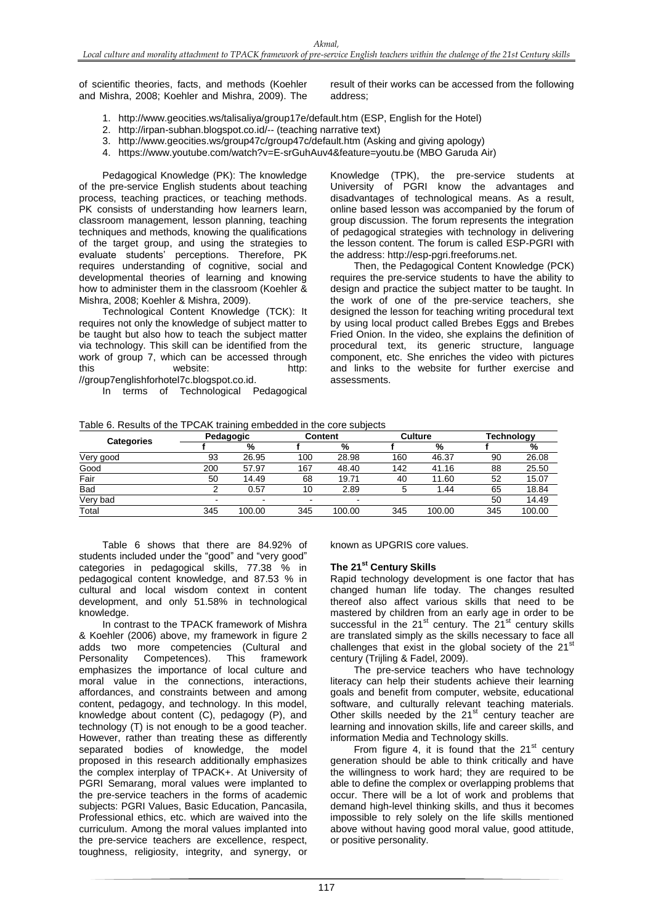of scientific theories, facts, and methods (Koehler and Mishra, 2008; Koehler and Mishra, 2009). The result of their works can be accessed from the following address;

- 1. [http://www.geocities.ws/talisaliya/group17e/default.htm](http://www.geocities.ws/talisaliya/group17e/default.ht) (ESP, English for the Hotel)
- 2. <http://irpan-subhan.blogspot.co.id/--> (teaching narrative text)
- 3. <http://www.geocities.ws/group47c/group47c/default.htm> (Asking and giving apology)
- 4. <https://www.youtube.com/watch?v=E-srGuhAuv4&feature=youtu.be> (MBO Garuda Air)

Pedagogical Knowledge (PK): The knowledge of the pre-service English students about teaching process, teaching practices, or teaching methods. PK consists of understanding how learners learn, classroom management, lesson planning, teaching techniques and methods, knowing the qualifications of the target group, and using the strategies to evaluate students" perceptions. Therefore, PK requires understanding of cognitive, social and developmental theories of learning and knowing how to administer them in the classroom (Koehler & Mishra, 2008; Koehler & Mishra, 2009).

Technological Content Knowledge (TCK): It requires not only the knowledge of subject matter to be taught but also how to teach the subject matter via technology. This skill can be identified from the work of group 7, which can be accessed through this website: http: [//group7englishforhotel7c.blogspot.co.id.](http://group7englishforhotel7c.blogspot.co.id/)

In terms of Technological Pedagogical

Knowledge (TPK), the pre-service students at University of PGRI know the advantages and disadvantages of technological means. As a result, online based lesson was accompanied by the forum of group discussion. The forum represents the integration of pedagogical strategies with technology in delivering the lesson content. The forum is called ESP-PGRI with

the address: [http://esp-pgri.freeforums.net](http://esp-pgri.freeforums.net/). Then, the Pedagogical Content Knowledge (PCK) requires the pre-service students to have the ability to design and practice the subject matter to be taught. In the work of one of the pre-service teachers, she designed the lesson for teaching writing procedural text by using local product called Brebes Eggs and Brebes Fried Onion. In the video, she explains the definition of procedural text, its generic structure, language component, etc. She enriches the video with pictures and links to the website for further exercise and assessments.

| Table 6. Results of the TPCAK training embedded in the core subjects |
|----------------------------------------------------------------------|
|----------------------------------------------------------------------|

| <b>Categories</b> | ີ<br>Pedagogic           |        | <b>Content</b> |                          | <b>Culture</b> |        | Technology |        |
|-------------------|--------------------------|--------|----------------|--------------------------|----------------|--------|------------|--------|
|                   |                          | %      |                | %                        |                | %      |            | %      |
| Very good         | 93                       | 26.95  | 100            | 28.98                    | 160            | 46.37  | 90         | 26.08  |
| Good              | 200                      | 57.97  | 167            | 48.40                    | 142            | 41.16  | 88         | 25.50  |
| Fair              | 50                       | 14.49  | 68             | 19.71                    | 40             | 11.60  | 52         | 15.07  |
| <b>Bad</b>        |                          | 0.57   | 10             | 2.89                     | b              | 1.44   | 65         | 18.84  |
| Very bad          | $\overline{\phantom{0}}$ |        | -              | $\overline{\phantom{0}}$ |                |        | 50         | 14.49  |
| Total             | 345                      | 100.00 | 345            | 100.00                   | 345            | 100.00 | 345        | 100.00 |

Table 6 shows that there are 84.92% of students included under the "good" and "very good" categories in pedagogical skills, 77.38 % in pedagogical content knowledge, and 87.53 % in cultural and local wisdom context in content development, and only 51.58% in technological knowledge.

In contrast to the TPACK framework of Mishra & Koehler (2006) above, my framework in figure 2 adds two more competencies (Cultural and Personality Competences). This framework emphasizes the importance of local culture and moral value in the connections, interactions, affordances, and constraints between and among content, pedagogy, and technology. In this model, knowledge about content (C), pedagogy (P), and technology (T) is not enough to be a good teacher. However, rather than treating these as differently separated bodies of knowledge, the model proposed in this research additionally emphasizes the complex interplay of TPACK+. At University of PGRI Semarang, moral values were implanted to the pre-service teachers in the forms of academic subjects: PGRI Values, Basic Education, Pancasila, Professional ethics, etc. which are waived into the curriculum. Among the moral values implanted into the pre-service teachers are excellence, respect, toughness, religiosity, integrity, and synergy, or known as UPGRIS core values.

# **The 21st Century Skills**

Rapid technology development is one factor that has changed human life today. The changes resulted thereof also affect various skills that need to be mastered by children from an early age in order to be successful in the  $21<sup>st</sup>$  century. The  $21<sup>st</sup>$  century skills are translated simply as the skills necessary to face all challenges that exist in the global society of the  $21<sup>st</sup>$ century (Trijling & Fadel, 2009).

The pre-service teachers who have technology literacy can help their students achieve their learning goals and benefit from computer, website, educational software, and culturally relevant teaching materials. Other skills needed by the  $21<sup>st</sup>$  century teacher are learning and innovation skills, life and career skills, and information Media and Technology skills.

From figure 4, it is found that the  $21<sup>st</sup>$  century generation should be able to think critically and have the willingness to work hard; they are required to be able to define the complex or overlapping problems that occur. There will be a lot of work and problems that demand high-level thinking skills, and thus it becomes impossible to rely solely on the life skills mentioned above without having good moral value, good attitude, or positive personality.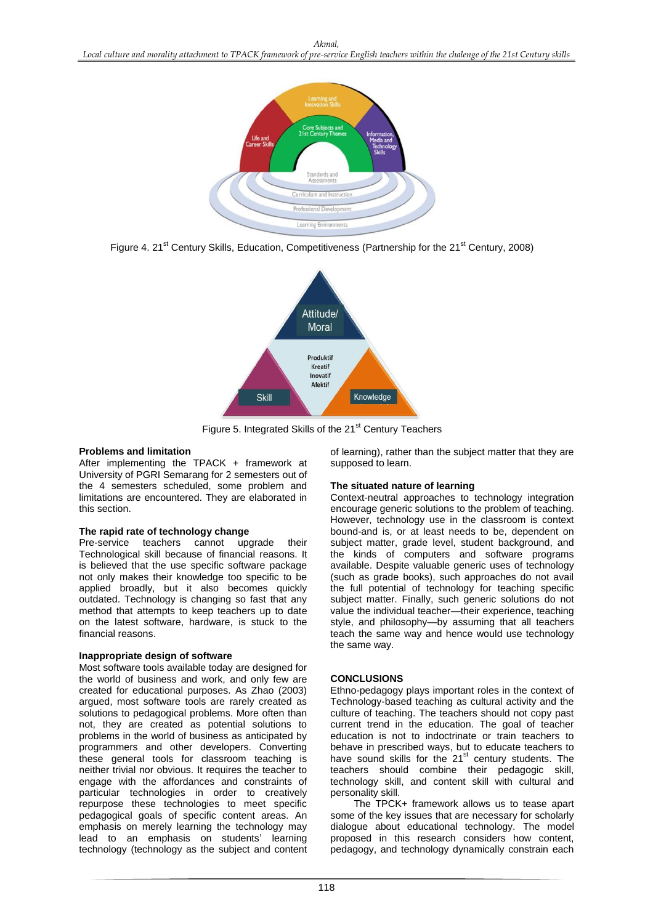

Figure 4. 21<sup>st</sup> Century Skills, Education, Competitiveness (Partnership for the 21<sup>st</sup> Century, 2008)



Figure 5. Integrated Skills of the 21<sup>st</sup> Century Teachers

#### **Problems and limitation**

After implementing the TPACK + framework at University of PGRI Semarang for 2 semesters out of the 4 semesters scheduled, some problem and limitations are encountered. They are elaborated in this section.

#### **The rapid rate of technology change**

Pre-service teachers cannot upgrade their Technological skill because of financial reasons. It is believed that the use specific software package not only makes their knowledge too specific to be applied broadly, but it also becomes quickly outdated. Technology is changing so fast that any method that attempts to keep teachers up to date on the latest software, hardware, is stuck to the financial reasons.

### **Inappropriate design of software**

Most software tools available today are designed for the world of business and work, and only few are created for educational purposes. As Zhao (2003) argued, most software tools are rarely created as solutions to pedagogical problems. More often than not, they are created as potential solutions to problems in the world of business as anticipated by programmers and other developers. Converting these general tools for classroom teaching is neither trivial nor obvious. It requires the teacher to engage with the affordances and constraints of particular technologies in order to creatively repurpose these technologies to meet specific pedagogical goals of specific content areas. An emphasis on merely learning the technology may lead to an emphasis on students' learning technology (technology as the subject and content of learning), rather than the subject matter that they are supposed to learn.

#### **The situated nature of learning**

Context-neutral approaches to technology integration encourage generic solutions to the problem of teaching. However, technology use in the classroom is context bound-and is, or at least needs to be, dependent on subject matter, grade level, student background, and the kinds of computers and software programs available. Despite valuable generic uses of technology (such as grade books), such approaches do not avail the full potential of technology for teaching specific subject matter. Finally, such generic solutions do not value the individual teacher—their experience, teaching style, and philosophy—by assuming that all teachers teach the same way and hence would use technology the same way.

### **CONCLUSIONS**

Ethno-pedagogy plays important roles in the context of Technology-based teaching as cultural activity and the culture of teaching. The teachers should not copy past current trend in the education. The goal of teacher education is not to indoctrinate or train teachers to behave in prescribed ways, but to educate teachers to have sound skills for the  $21<sup>st</sup>$  century students. The teachers should combine their pedagogic skill, technology skill, and content skill with cultural and personality skill.

The TPCK+ framework allows us to tease apart some of the key issues that are necessary for scholarly dialogue about educational technology. The model proposed in this research considers how content, pedagogy, and technology dynamically constrain each